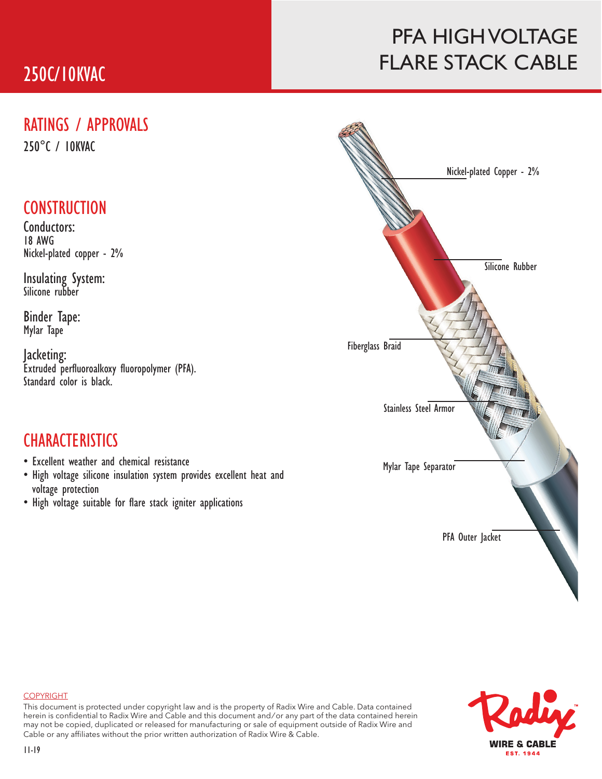### 250C/10KVAC

### PFA HIGH VOLTAGE FLARE STACK CABLE

#### RATINGS / APPROVALS

250°C / 10KVAC

### **CONSTRUCTION**

Conductors: 18 AWG Nickel-plated copper - 2%

Insulating System: Silicone rubber

Binder Tape: Mylar Tape

Jacketing: Extruded perfluoroalkoxy fluoropolymer (PFA). Standard color is black.

#### **CHARACTERISTICS**

- Excellent weather and chemical resistance
- High voltage silicone insulation system provides excellent heat and voltage protection
- High voltage suitable for flare stack igniter applications





#### COPYRIGHT

This document is protected under copyright law and is the property of Radix Wire and Cable. Data contained herein is confidential to Radix Wire and Cable and this document and / or any part of the data contained herein may not be copied, duplicated or released for manufacturing or sale of equipment outside of Radix Wire and Cable or any affiliates without the prior written authorization of Radix Wire & Cable.